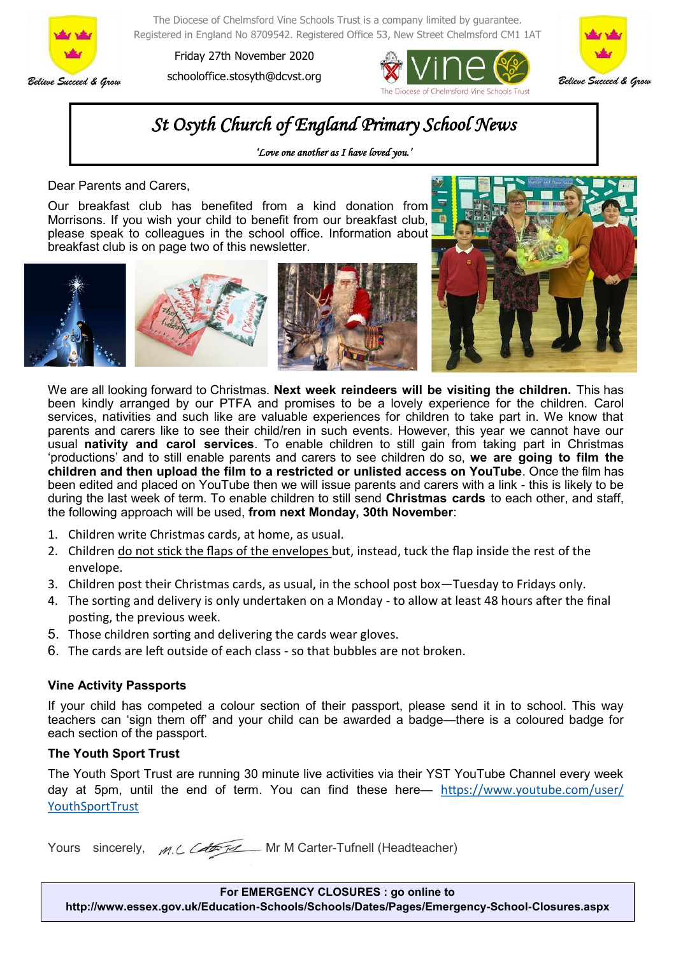

The Diocese of Chelmsford Vine Schools Trust is a company limited by guarantee. Registered in England No 8709542. Registered Office 53, New Street Chelmsford CM1 1AT

Friday 27th November 2020 schooloffice.stosyth@dcvst.org





## *St Osyth Church of England Primary School News*

*'Love one another as I have loved you.'* 

Dear Parents and Carers,

Our breakfast club has benefited from a kind donation from Morrisons. If you wish your child to benefit from our breakfast club, please speak to colleagues in the school office. Information about breakfast club is on page two of this newsletter.





We are all looking forward to Christmas. **Next week reindeers will be visiting the children.** This has been kindly arranged by our PTFA and promises to be a lovely experience for the children. Carol services, nativities and such like are valuable experiences for children to take part in. We know that parents and carers like to see their child/ren in such events. However, this year we cannot have our usual **nativity and carol services**. To enable children to still gain from taking part in Christmas 'productions' and to still enable parents and carers to see children do so, **we are going to film the children and then upload the film to a restricted or unlisted access on YouTube**. Once the film has been edited and placed on YouTube then we will issue parents and carers with a link - this is likely to be during the last week of term. To enable children to still send **Christmas cards** to each other, and staff, the following approach will be used, **from next Monday, 30th November**:

- 1. Children write Christmas cards, at home, as usual.
- 2. Children do not stick the flaps of the envelopes but, instead, tuck the flap inside the rest of the envelope.
- 3. Children post their Christmas cards, as usual, in the school post box—Tuesday to Fridays only.
- 4. The sorting and delivery is only undertaken on a Monday to allow at least 48 hours after the final posting, the previous week.
- 5. Those children sorting and delivering the cards wear gloves.
- 6. The cards are left outside of each class so that bubbles are not broken.

## **Vine Activity Passports**

If your child has competed a colour section of their passport, please send it in to school. This way teachers can 'sign them off' and your child can be awarded a badge—there is a coloured badge for each section of the passport.

## **The Youth Sport Trust**

The Youth Sport Trust are running 30 minute live activities via their YST YouTube Channel every week day at 5pm, until the end of term. You can find these here— [https://www.youtube.com/user/](https://gbr01.safelinks.protection.outlook.com/?url=https%3A%2F%2Fwww.youtube.com%2Fuser%2FYouthSportTrust&data=04%7C01%7Coffice.stosyth%40dcvst.org%7C6dd7ec9da6374ea9d00f08d8905fc8b9%7C282c78034b8f4fbda3841682df47e3ad%7C1%7C0%7C637418088346181976%7CUnknown%7) [YouthSportTrust](https://gbr01.safelinks.protection.outlook.com/?url=https%3A%2F%2Fwww.youtube.com%2Fuser%2FYouthSportTrust&data=04%7C01%7Coffice.stosyth%40dcvst.org%7C6dd7ec9da6374ea9d00f08d8905fc8b9%7C282c78034b8f4fbda3841682df47e3ad%7C1%7C0%7C637418088346181976%7CUnknown%7)

Yours sincerely, *m.C. Colempo* Mr M Carter-Tufnell (Headteacher)

**For EMERGENCY CLOSURES : go online to http://www.essex.gov.uk/Education-Schools/Schools/Dates/Pages/Emergency-School-Closures.aspx**